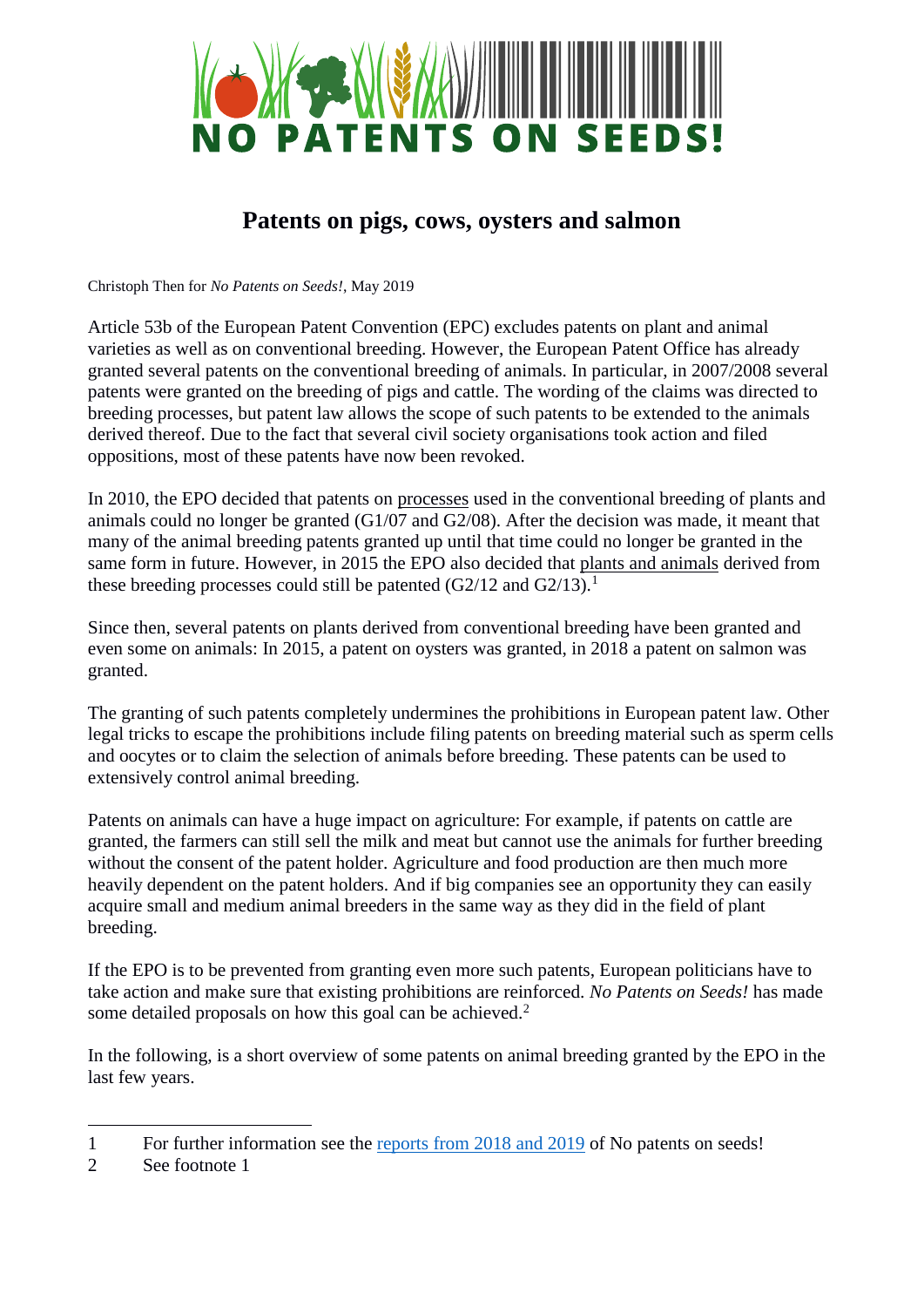

## **Patents on pigs, cows, oysters and salmon**

Christoph Then for *No Patents on Seeds!*, May 2019

Article 53b of the European Patent Convention (EPC) excludes patents on plant and animal varieties as well as on conventional breeding. However, the European Patent Office has already granted several patents on the conventional breeding of animals. In particular, in 2007/2008 several patents were granted on the breeding of pigs and cattle. The wording of the claims was directed to breeding processes, but patent law allows the scope of such patents to be extended to the animals derived thereof. Due to the fact that several civil society organisations took action and filed oppositions, most of these patents have now been revoked.

In 2010, the EPO decided that patents on processes used in the conventional breeding of plants and animals could no longer be granted (G1/07 and G2/08). After the decision was made, it meant that many of the animal breeding patents granted up until that time could no longer be granted in the same form in future. However, in 2015 the EPO also decided that plants and animals derived from these breeding processes could still be patented  $(G2/12$  and  $G2/13$ ).<sup>1</sup>

Since then, several patents on plants derived from conventional breeding have been granted and even some on animals: In 2015, a patent on oysters was granted, in 2018 a patent on salmon was granted.

The granting of such patents completely undermines the prohibitions in European patent law. Other legal tricks to escape the prohibitions include filing patents on breeding material such as sperm cells and oocytes or to claim the selection of animals before breeding. These patents can be used to extensively control animal breeding.

Patents on animals can have a huge impact on agriculture: For example, if patents on cattle are granted, the farmers can still sell the milk and meat but cannot use the animals for further breeding without the consent of the patent holder. Agriculture and food production are then much more heavily dependent on the patent holders. And if big companies see an opportunity they can easily acquire small and medium animal breeders in the same way as they did in the field of plant breeding.

If the EPO is to be prevented from granting even more such patents, European politicians have to take action and make sure that existing prohibitions are reinforced. *No Patents on Seeds!* has made some detailed proposals on how this goal can be achieved.<sup>2</sup>

In the following, is a short overview of some patents on animal breeding granted by the EPO in the last few years.

<u>.</u>

<sup>1</sup> For further information see the [reports from 2018 and 2019](https://www.no-patents-on-seeds.org/en/background/publications) of No patents on seeds!

<sup>2</sup> See footnote 1